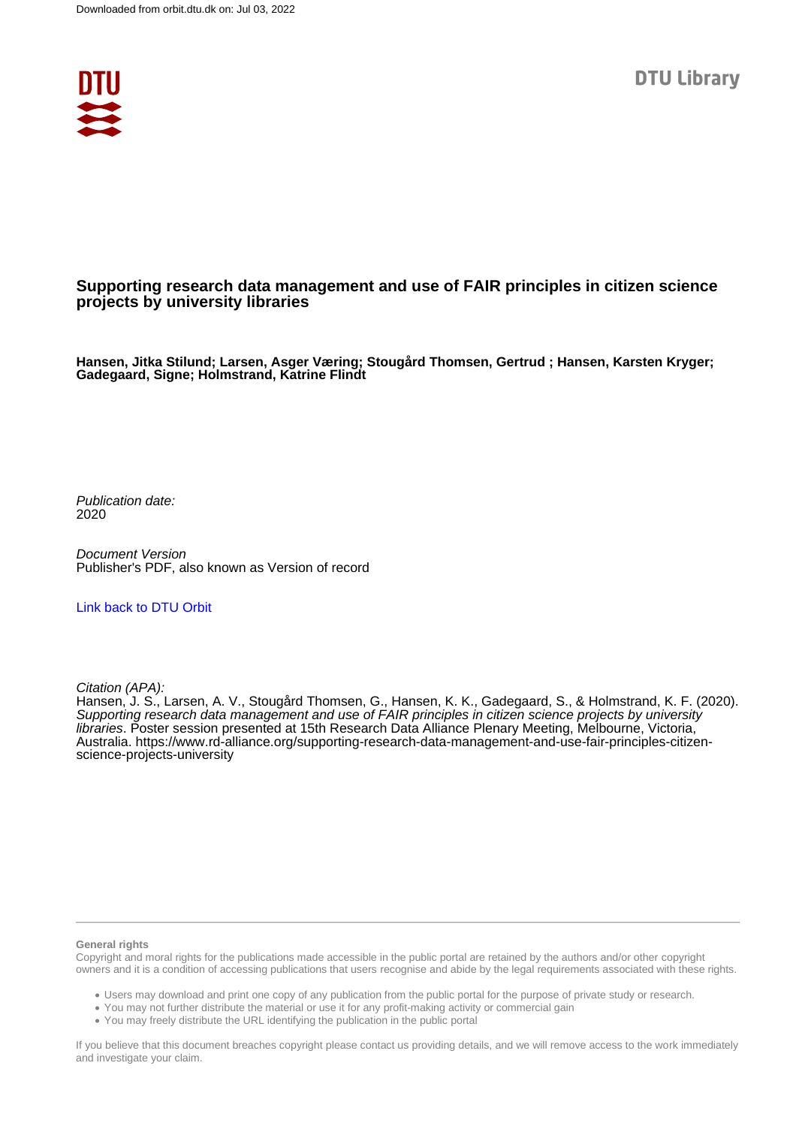

#### **Supporting research data management and use of FAIR principles in citizen science projects by university libraries**

**Hansen, Jitka Stilund; Larsen, Asger Væring; Stougård Thomsen, Gertrud ; Hansen, Karsten Kryger; Gadegaard, Signe; Holmstrand, Katrine Flindt**

Publication date: 2020

Document Version Publisher's PDF, also known as Version of record

[Link back to DTU Orbit](https://orbit.dtu.dk/en/publications/8afaffed-86c6-4e86-aa66-422887152dce)

Citation (APA):

Hansen, J. S., Larsen, A. V., Stougård Thomsen, G., Hansen, K. K., Gadegaard, S., & Holmstrand, K. F. (2020). Supporting research data management and use of FAIR principles in citizen science projects by university libraries. Poster session presented at 15th Research Data Alliance Plenary Meeting, Melbourne, Victoria, Australia. [https://www.rd-alliance.org/supporting-research-data-management-and-use-fair-principles-citizen](https://www.rd-alliance.org/supporting-research-data-management-and-use-fair-principles-citizen-science-projects-university)[science-projects-university](https://www.rd-alliance.org/supporting-research-data-management-and-use-fair-principles-citizen-science-projects-university)

#### **General rights**

Copyright and moral rights for the publications made accessible in the public portal are retained by the authors and/or other copyright owners and it is a condition of accessing publications that users recognise and abide by the legal requirements associated with these rights.

Users may download and print one copy of any publication from the public portal for the purpose of private study or research.

- You may not further distribute the material or use it for any profit-making activity or commercial gain
- You may freely distribute the URL identifying the publication in the public portal

If you believe that this document breaches copyright please contact us providing details, and we will remove access to the work immediately and investigate your claim.